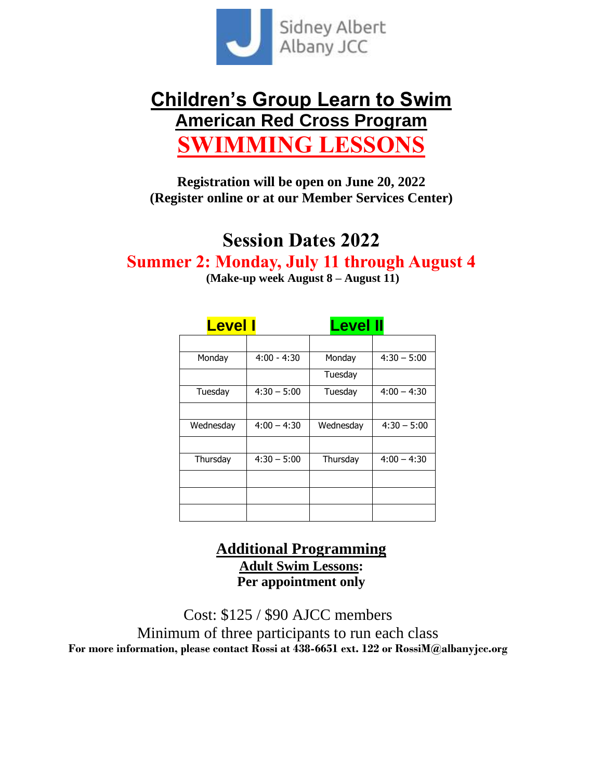

# **Children's Group Learn to Swim American Red Cross Program WIMMING LESSON**

**Registration will be open on June 20, 2022 (Register online or at our Member Services Center)**

# **Session Dates 2022**

**Summer 2: Monday, July 11 through August 4**

**(Make-up week August 8 – August 11)**

| <b>Level I</b> |               | <b>Level II</b> |               |
|----------------|---------------|-----------------|---------------|
|                |               |                 |               |
| Monday         | $4:00 - 4:30$ | Monday          | $4:30 - 5:00$ |
|                |               | Tuesday         |               |
| Tuesday        | $4:30 - 5:00$ | Tuesday         | $4:00 - 4:30$ |
|                |               |                 |               |
| Wednesday      | $4:00 - 4:30$ | Wednesday       | $4:30 - 5:00$ |
|                |               |                 |               |
| Thursday       | $4:30 - 5:00$ | Thursday        | $4:00 - 4:30$ |
|                |               |                 |               |
|                |               |                 |               |
|                |               |                 |               |

## **Additional Programming Adult Swim Lessons: Per appointment only**

Cost: \$125 / \$90 AJCC members Minimum of three participants to run each class **For more information, please contact Rossi at 438-6651 ext. 122 or RossiM@albanyjcc.org**